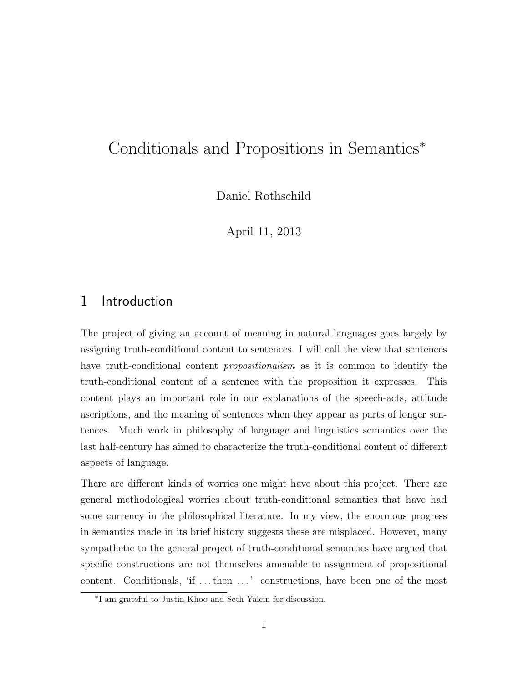# Conditionals and Propositions in Semantics<sup>\*</sup>

Daniel Rothschild

April 11, 2013

# 1 Introduction

The project of giving an account of meaning in natural languages goes largely by assigning truth-conditional content to sentences. I will call the view that sentences have truth-conditional content *propositionalism* as it is common to identify the truth-conditional content of a sentence with the proposition it expresses. This content plays an important role in our explanations of the speech-acts, attitude ascriptions, and the meaning of sentences when they appear as parts of longer sentences. Much work in philosophy of language and linguistics semantics over the last half-century has aimed to characterize the truth-conditional content of different aspects of language.

There are different kinds of worries one might have about this project. There are general methodological worries about truth-conditional semantics that have had some currency in the philosophical literature. In my view, the enormous progress in semantics made in its brief history suggests these are misplaced. However, many sympathetic to the general project of truth-conditional semantics have argued that specific constructions are not themselves amenable to assignment of propositional content. Conditionals, 'if ... then ...' constructions, have been one of the most

<sup>⇤</sup>I am grateful to Justin Khoo and Seth Yalcin for discussion.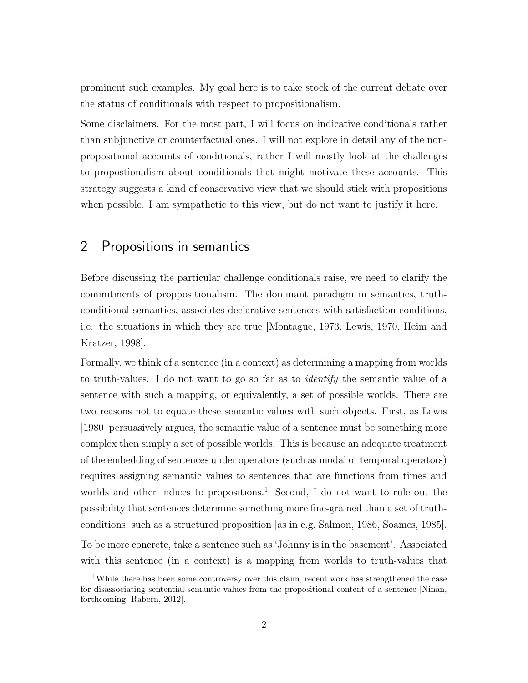prominent such examples. My goal here is to take stock of the current debate over the status of conditionals with respect to propositionalism.

Some disclaimers. For the most part, I will focus on indicative conditionals rather than subjunctive or counterfactual ones. I will not explore in detail any of the nonpropositional accounts of conditionals, rather I will mostly look at the challenges to propostionalism about conditionals that might motivate these accounts. This strategy suggests a kind of conservative view that we should stick with propositions when possible. I am sympathetic to this view, but do not want to justify it here.

#### 2 Propositions in semantics

Before discussing the particular challenge conditionals raise, we need to clarify the commitments of proppositionalism. The dominant paradigm in semantics, truthconditional semantics, associates declarative sentences with satisfaction conditions, i.e. the situations in which they are true [Montague, 1973, Lewis, 1970, Heim and Kratzer, 1998].

Formally, we think of a sentence (in a context) as determining a mapping from worlds to truth-values. I do not want to go so far as to *identify* the semantic value of a sentence with such a mapping, or equivalently, a set of possible worlds. There are two reasons not to equate these semantic values with such objects. First, as Lewis [1980] persuasively argues, the semantic value of a sentence must be something more complex then simply a set of possible worlds. This is because an adequate treatment of the embedding of sentences under operators (such as modal or temporal operators) requires assigning semantic values to sentences that are functions from times and worlds and other indices to propositions.<sup>1</sup> Second, I do not want to rule out the possibility that sentences determine something more fine-grained than a set of truthconditions, such as a structured proposition [as in e.g. Salmon, 1986, Soames, 1985]. To be more concrete, take a sentence such as 'Johnny is in the basement'. Associated with this sentence (in a context) is a mapping from worlds to truth-values that

<sup>&</sup>lt;sup>1</sup>While there has been some controversy over this claim, recent work has strengthened the case for disassociating sentential semantic values from the propositional content of a sentence [Ninan, forthcoming, Rabern, 2012].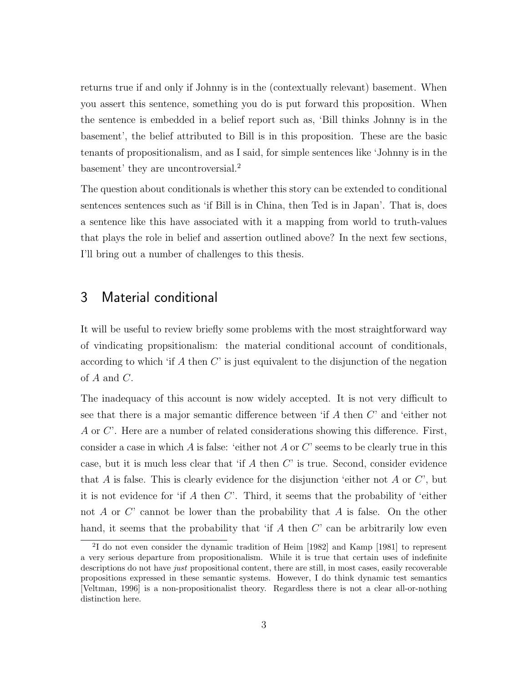returns true if and only if Johnny is in the (contextually relevant) basement. When you assert this sentence, something you do is put forward this proposition. When the sentence is embedded in a belief report such as, 'Bill thinks Johnny is in the basement', the belief attributed to Bill is in this proposition. These are the basic tenants of propositionalism, and as I said, for simple sentences like 'Johnny is in the basement' they are uncontroversial.<sup>2</sup>

The question about conditionals is whether this story can be extended to conditional sentences sentences such as 'if Bill is in China, then Ted is in Japan'. That is, does a sentence like this have associated with it a mapping from world to truth-values that plays the role in belief and assertion outlined above? In the next few sections, I'll bring out a number of challenges to this thesis.

### 3 Material conditional

It will be useful to review briefly some problems with the most straightforward way of vindicating propsitionalism: the material conditional account of conditionals, according to which 'if *A* then *C*' is just equivalent to the disjunction of the negation of *A* and *C*.

The inadequacy of this account is now widely accepted. It is not very difficult to see that there is a major semantic difference between 'if  $A$  then  $C'$  and 'either not *A* or *C*'. Here are a number of related considerations showing this difference. First, consider a case in which *A* is false: 'either not *A* or *C*' seems to be clearly true in this case, but it is much less clear that 'if *A* then *C*' is true. Second, consider evidence that *A* is false. This is clearly evidence for the disjunction 'either not *A* or *C*', but it is not evidence for 'if *A* then *C*'. Third, it seems that the probability of 'either not *A* or *C*' cannot be lower than the probability that *A* is false. On the other hand, it seems that the probability that 'if *A* then *C*' can be arbitrarily low even

<sup>2</sup>I do not even consider the dynamic tradition of Heim [1982] and Kamp [1981] to represent a very serious departure from propositionalism. While it is true that certain uses of indefinite descriptions do not have *just* propositional content, there are still, in most cases, easily recoverable propositions expressed in these semantic systems. However, I do think dynamic test semantics [Veltman, 1996] is a non-propositionalist theory. Regardless there is not a clear all-or-nothing distinction here.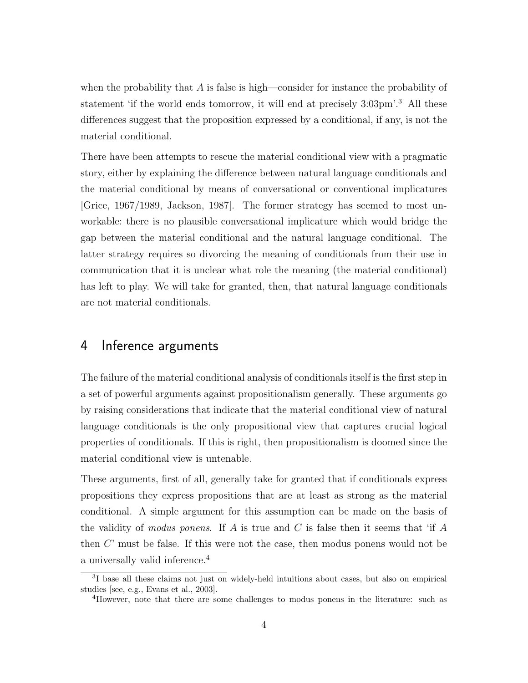when the probability that *A* is false is high—consider for instance the probability of statement 'if the world ends tomorrow, it will end at precisely 3:03pm'.<sup>3</sup> All these differences suggest that the proposition expressed by a conditional, if any, is not the material conditional.

There have been attempts to rescue the material conditional view with a pragmatic story, either by explaining the difference between natural language conditionals and the material conditional by means of conversational or conventional implicatures [Grice, 1967/1989, Jackson, 1987]. The former strategy has seemed to most unworkable: there is no plausible conversational implicature which would bridge the gap between the material conditional and the natural language conditional. The latter strategy requires so divorcing the meaning of conditionals from their use in communication that it is unclear what role the meaning (the material conditional) has left to play. We will take for granted, then, that natural language conditionals are not material conditionals.

#### 4 Inference arguments

The failure of the material conditional analysis of conditionals itself is the first step in a set of powerful arguments against propositionalism generally. These arguments go by raising considerations that indicate that the material conditional view of natural language conditionals is the only propositional view that captures crucial logical properties of conditionals. If this is right, then propositionalism is doomed since the material conditional view is untenable.

These arguments, first of all, generally take for granted that if conditionals express propositions they express propositions that are at least as strong as the material conditional. A simple argument for this assumption can be made on the basis of the validity of *modus ponens*. If *A* is true and *C* is false then it seems that 'if *A* then *C*' must be false. If this were not the case, then modus ponens would not be a universally valid inference.<sup>4</sup>

<sup>&</sup>lt;sup>3</sup>I base all these claims not just on widely-held intuitions about cases, but also on empirical studies [see, e.g., Evans et al., 2003].

<sup>4</sup>However, note that there are some challenges to modus ponens in the literature: such as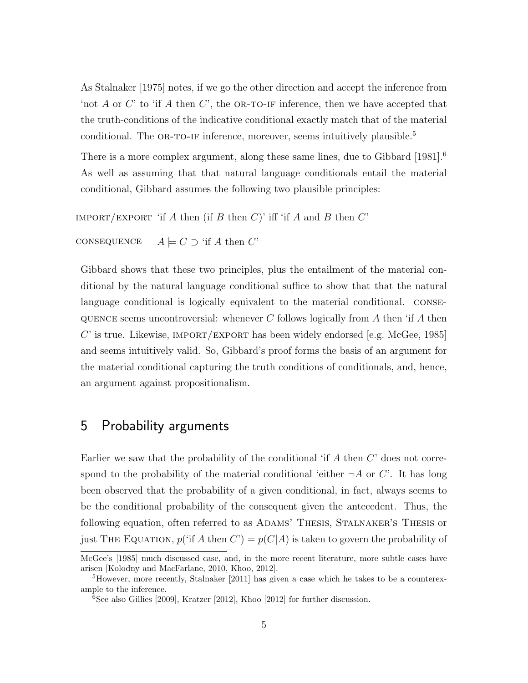As Stalnaker [1975] notes, if we go the other direction and accept the inference from 'not *A* or *C*' to 'if *A* then *C*', the OR-TO-IF inference, then we have accepted that the truth-conditions of the indicative conditional exactly match that of the material conditional. The OR-TO-IF inference, moreover, seems intuitively plausible.<sup>5</sup>

There is a more complex argument, along these same lines, due to Gibbard [1981].<sup>6</sup> As well as assuming that that natural language conditionals entail the material conditional, Gibbard assumes the following two plausible principles:

 $IMPORT/EXPORT$  'if *A* then (if *B* then *C*)' iff 'if *A* and *B* then *C*'

```
CONSEQUENCE A \models C \supset \text{`if } A \text{ then } C'
```
Gibbard shows that these two principles, plus the entailment of the material conditional by the natural language conditional suffice to show that that the natural language conditional is logically equivalent to the material conditional. consequence seems uncontroversial: whenever *C* follows logically from *A* then 'if *A* then *C*' is true. Likewise, IMPORT/EXPORT has been widely endorsed [e.g. McGee, 1985] and seems intuitively valid. So, Gibbard's proof forms the basis of an argument for the material conditional capturing the truth conditions of conditionals, and, hence, an argument against propositionalism.

# 5 Probability arguments

Earlier we saw that the probability of the conditional 'if *A* then *C*' does not correspond to the probability of the material conditional 'either  $\neg A$  or *C*'. It has long been observed that the probability of a given conditional, in fact, always seems to be the conditional probability of the consequent given the antecedent. Thus, the following equation, often referred to as ADAMS' THESIS, STALNAKER'S THESIS or just THE EQUATION,  $p("if A then C") = p(C|A)$  is taken to govern the probability of

McGee's [1985] much discussed case, and, in the more recent literature, more subtle cases have arisen [Kolodny and MacFarlane, 2010, Khoo, 2012].

<sup>5</sup>However, more recently, Stalnaker [2011] has given a case which he takes to be a counterexample to the inference.

<sup>6</sup>See also Gillies [2009], Kratzer [2012], Khoo [2012] for further discussion.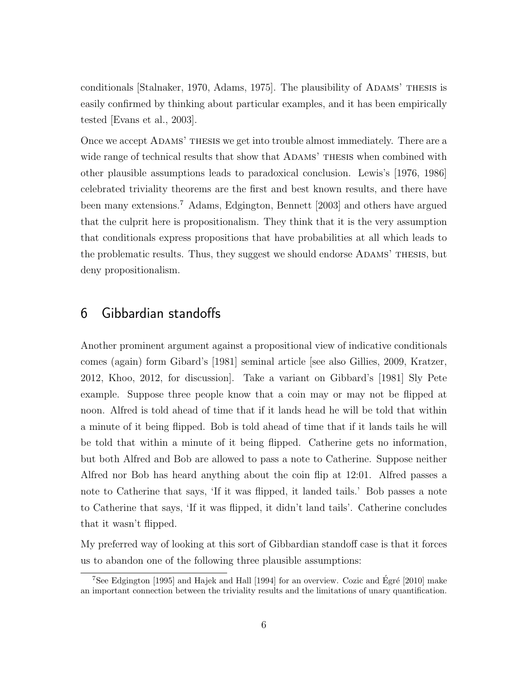conditionals [Stalnaker, 1970, Adams, 1975]. The plausibility of ADAMS' THESIS is easily confirmed by thinking about particular examples, and it has been empirically tested [Evans et al., 2003].

Once we accept Adams' thesis we get into trouble almost immediately. There are a wide range of technical results that show that ADAMS' THESIS when combined with other plausible assumptions leads to paradoxical conclusion. Lewis's [1976, 1986] celebrated triviality theorems are the first and best known results, and there have been many extensions.<sup>7</sup> Adams, Edgington, Bennett [2003] and others have argued that the culprit here is propositionalism. They think that it is the very assumption that conditionals express propositions that have probabilities at all which leads to the problematic results. Thus, they suggest we should endorse Adams' thesis, but deny propositionalism.

## 6 Gibbardian standoffs

Another prominent argument against a propositional view of indicative conditionals comes (again) form Gibard's [1981] seminal article [see also Gillies, 2009, Kratzer, 2012, Khoo, 2012, for discussion]. Take a variant on Gibbard's [1981] Sly Pete example. Suppose three people know that a coin may or may not be flipped at noon. Alfred is told ahead of time that if it lands head he will be told that within a minute of it being flipped. Bob is told ahead of time that if it lands tails he will be told that within a minute of it being flipped. Catherine gets no information, but both Alfred and Bob are allowed to pass a note to Catherine. Suppose neither Alfred nor Bob has heard anything about the coin flip at 12:01. Alfred passes a note to Catherine that says, 'If it was flipped, it landed tails.' Bob passes a note to Catherine that says, 'If it was flipped, it didn't land tails'. Catherine concludes that it wasn't flipped.

My preferred way of looking at this sort of Gibbardian standoff case is that it forces us to abandon one of the following three plausible assumptions:

<sup>&</sup>lt;sup>7</sup>See Edgington [1995] and Hajek and Hall [1994] for an overview. Cozic and Égré [2010] make an important connection between the triviality results and the limitations of unary quantification.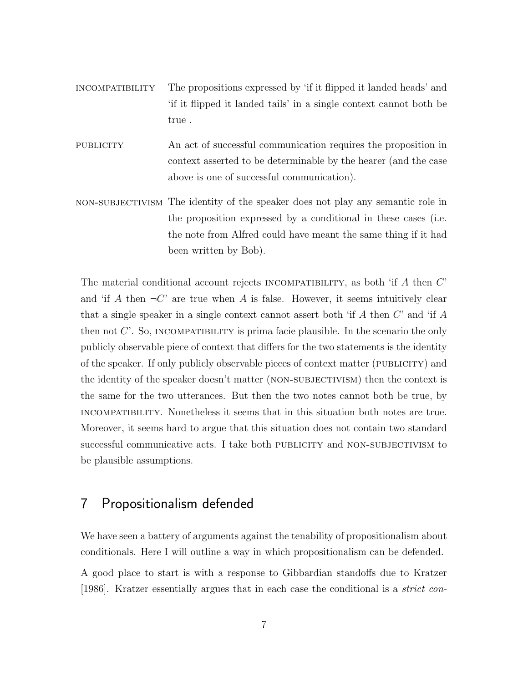- incompatibility The propositions expressed by 'if it flipped it landed heads' and 'if it flipped it landed tails' in a single context cannot both be true .
- publicity An act of successful communication requires the proposition in context asserted to be determinable by the hearer (and the case above is one of successful communication).
- non-subjectivism The identity of the speaker does not play any semantic role in the proposition expressed by a conditional in these cases (i.e. the note from Alfred could have meant the same thing if it had been written by Bob).

The material conditional account rejects incompatibility, as both 'if *A* then *C*' and 'if *A* then  $\neg C$ ' are true when *A* is false. However, it seems intuitively clear that a single speaker in a single context cannot assert both 'if *A* then *C*' and 'if *A* then not  $C'$ . So, INCOMPATIBILITY is prima facie plausible. In the scenario the only publicly observable piece of context that differs for the two statements is the identity of the speaker. If only publicly observable pieces of context matter (publicity) and the identity of the speaker doesn't matter (NON-SUBJECTIVISM) then the context is the same for the two utterances. But then the two notes cannot both be true, by incompatibility. Nonetheless it seems that in this situation both notes are true. Moreover, it seems hard to argue that this situation does not contain two standard successful communicative acts. I take both PUBLICITY and NON-SUBJECTIVISM to be plausible assumptions.

## 7 Propositionalism defended

We have seen a battery of arguments against the tenability of propositionalism about conditionals. Here I will outline a way in which propositionalism can be defended.

A good place to start is with a response to Gibbardian standoffs due to Kratzer [1986]. Kratzer essentially argues that in each case the conditional is a *strict con-*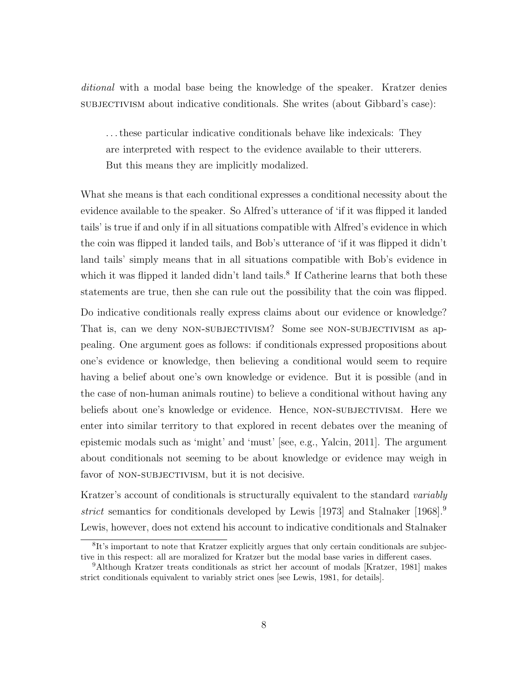*ditional* with a modal base being the knowledge of the speaker. Kratzer denies subjectivism about indicative conditionals. She writes (about Gibbard's case):

. . . these particular indicative conditionals behave like indexicals: They are interpreted with respect to the evidence available to their utterers. But this means they are implicitly modalized.

What she means is that each conditional expresses a conditional necessity about the evidence available to the speaker. So Alfred's utterance of 'if it was flipped it landed tails' is true if and only if in all situations compatible with Alfred's evidence in which the coin was flipped it landed tails, and Bob's utterance of 'if it was flipped it didn't land tails' simply means that in all situations compatible with Bob's evidence in which it was flipped it landed didn't land tails.<sup>8</sup> If Catherine learns that both these statements are true, then she can rule out the possibility that the coin was flipped.

Do indicative conditionals really express claims about our evidence or knowledge? That is, can we deny NON-SUBJECTIVISM? Some see NON-SUBJECTIVISM as appealing. One argument goes as follows: if conditionals expressed propositions about one's evidence or knowledge, then believing a conditional would seem to require having a belief about one's own knowledge or evidence. But it is possible (and in the case of non-human animals routine) to believe a conditional without having any beliefs about one's knowledge or evidence. Hence, NON-SUBJECTIVISM. Here we enter into similar territory to that explored in recent debates over the meaning of epistemic modals such as 'might' and 'must' [see, e.g., Yalcin, 2011]. The argument about conditionals not seeming to be about knowledge or evidence may weigh in favor of NON-SUBJECTIVISM, but it is not decisive.

Kratzer's account of conditionals is structurally equivalent to the standard *variably strict* semantics for conditionals developed by Lewis [1973] and Stalnaker [1968].<sup>9</sup> Lewis, however, does not extend his account to indicative conditionals and Stalnaker

<sup>&</sup>lt;sup>8</sup>It's important to note that Kratzer explicitly argues that only certain conditionals are subjective in this respect: all are moralized for Kratzer but the modal base varies in different cases.

<sup>9</sup>Although Kratzer treats conditionals as strict her account of modals [Kratzer, 1981] makes strict conditionals equivalent to variably strict ones [see Lewis, 1981, for details].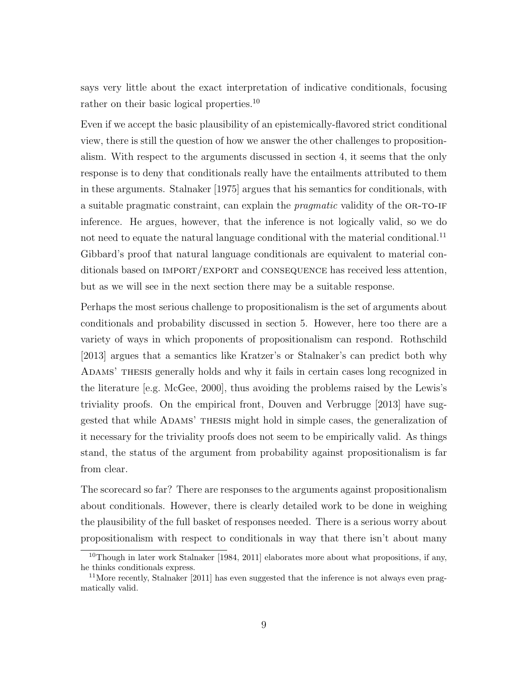says very little about the exact interpretation of indicative conditionals, focusing rather on their basic logical properties.<sup>10</sup>

Even if we accept the basic plausibility of an epistemically-flavored strict conditional view, there is still the question of how we answer the other challenges to propositionalism. With respect to the arguments discussed in section 4, it seems that the only response is to deny that conditionals really have the entailments attributed to them in these arguments. Stalnaker [1975] argues that his semantics for conditionals, with a suitable pragmatic constraint, can explain the *pragmatic* validity of the OR-TO-IF inference. He argues, however, that the inference is not logically valid, so we do not need to equate the natural language conditional with the material conditional.<sup>11</sup> Gibbard's proof that natural language conditionals are equivalent to material conditionals based on import/export and consequence has received less attention, but as we will see in the next section there may be a suitable response.

Perhaps the most serious challenge to propositionalism is the set of arguments about conditionals and probability discussed in section 5. However, here too there are a variety of ways in which proponents of propositionalism can respond. Rothschild [2013] argues that a semantics like Kratzer's or Stalnaker's can predict both why ADAMS' THESIS generally holds and why it fails in certain cases long recognized in the literature [e.g. McGee, 2000], thus avoiding the problems raised by the Lewis's triviality proofs. On the empirical front, Douven and Verbrugge [2013] have suggested that while Adams' thesis might hold in simple cases, the generalization of it necessary for the triviality proofs does not seem to be empirically valid. As things stand, the status of the argument from probability against propositionalism is far from clear.

The scorecard so far? There are responses to the arguments against propositionalism about conditionals. However, there is clearly detailed work to be done in weighing the plausibility of the full basket of responses needed. There is a serious worry about propositionalism with respect to conditionals in way that there isn't about many

 $10$ Though in later work Stalnaker [1984, 2011] elaborates more about what propositions, if any, he thinks conditionals express.

<sup>&</sup>lt;sup>11</sup>More recently, Stalnaker  $[2011]$  has even suggested that the inference is not always even pragmatically valid.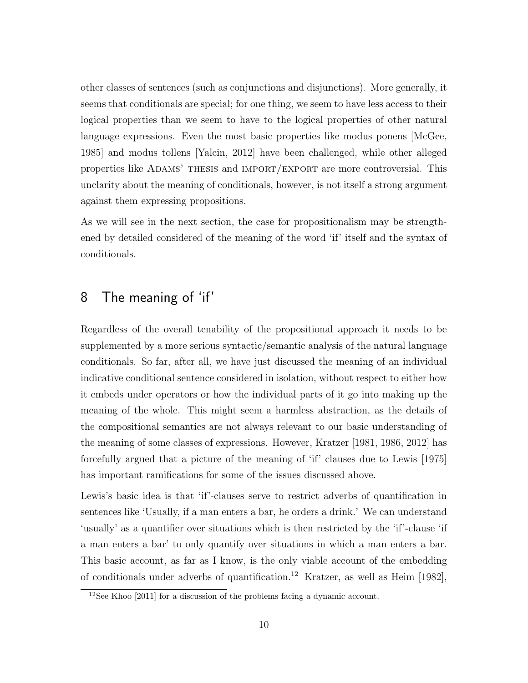other classes of sentences (such as conjunctions and disjunctions). More generally, it seems that conditionals are special; for one thing, we seem to have less access to their logical properties than we seem to have to the logical properties of other natural language expressions. Even the most basic properties like modus ponens [McGee, 1985] and modus tollens [Yalcin, 2012] have been challenged, while other alleged properties like Adams' thesis and import/export are more controversial. This unclarity about the meaning of conditionals, however, is not itself a strong argument against them expressing propositions.

As we will see in the next section, the case for propositionalism may be strengthened by detailed considered of the meaning of the word 'if' itself and the syntax of conditionals.

# 8 The meaning of 'if'

Regardless of the overall tenability of the propositional approach it needs to be supplemented by a more serious syntactic/semantic analysis of the natural language conditionals. So far, after all, we have just discussed the meaning of an individual indicative conditional sentence considered in isolation, without respect to either how it embeds under operators or how the individual parts of it go into making up the meaning of the whole. This might seem a harmless abstraction, as the details of the compositional semantics are not always relevant to our basic understanding of the meaning of some classes of expressions. However, Kratzer [1981, 1986, 2012] has forcefully argued that a picture of the meaning of 'if' clauses due to Lewis [1975] has important ramifications for some of the issues discussed above.

Lewis's basic idea is that 'if'-clauses serve to restrict adverbs of quantification in sentences like 'Usually, if a man enters a bar, he orders a drink.' We can understand 'usually' as a quantifier over situations which is then restricted by the 'if'-clause 'if a man enters a bar' to only quantify over situations in which a man enters a bar. This basic account, as far as I know, is the only viable account of the embedding of conditionals under adverbs of quantification.<sup>12</sup> Kratzer, as well as Heim [1982],

 $12$ See Khoo [2011] for a discussion of the problems facing a dynamic account.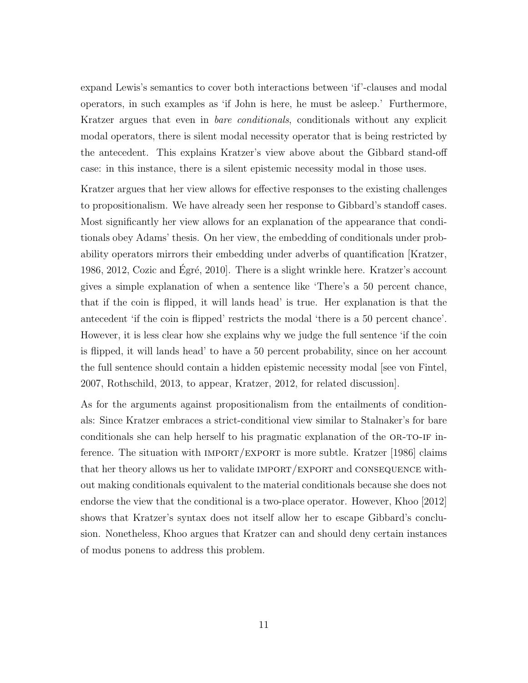expand Lewis's semantics to cover both interactions between 'if'-clauses and modal operators, in such examples as 'if John is here, he must be asleep.' Furthermore, Kratzer argues that even in *bare conditionals*, conditionals without any explicit modal operators, there is silent modal necessity operator that is being restricted by the antecedent. This explains Kratzer's view above about the Gibbard stand-off case: in this instance, there is a silent epistemic necessity modal in those uses.

Kratzer argues that her view allows for effective responses to the existing challenges to propositionalism. We have already seen her response to Gibbard's standoff cases. Most significantly her view allows for an explanation of the appearance that conditionals obey Adams' thesis. On her view, the embedding of conditionals under probability operators mirrors their embedding under adverbs of quantification [Kratzer, 1986, 2012, Cozic and Egré, 2010. There is a slight wrinkle here. Kratzer's account gives a simple explanation of when a sentence like 'There's a 50 percent chance, that if the coin is flipped, it will lands head' is true. Her explanation is that the antecedent 'if the coin is flipped' restricts the modal 'there is a 50 percent chance'. However, it is less clear how she explains why we judge the full sentence 'if the coin is flipped, it will lands head' to have a 50 percent probability, since on her account the full sentence should contain a hidden epistemic necessity modal see von Fintel, 2007, Rothschild, 2013, to appear, Kratzer, 2012, for related discussion].

As for the arguments against propositionalism from the entailments of conditionals: Since Kratzer embraces a strict-conditional view similar to Stalnaker's for bare conditionals she can help herself to his pragmatic explanation of the OR-TO-IF inference. The situation with  $IMPORT/EXPORT$  is more subtle. Kratzer [1986] claims that her theory allows us her to validate  $IMPORT/EXPORT$  and CONSEQUENCE without making conditionals equivalent to the material conditionals because she does not endorse the view that the conditional is a two-place operator. However, Khoo [2012] shows that Kratzer's syntax does not itself allow her to escape Gibbard's conclusion. Nonetheless, Khoo argues that Kratzer can and should deny certain instances of modus ponens to address this problem.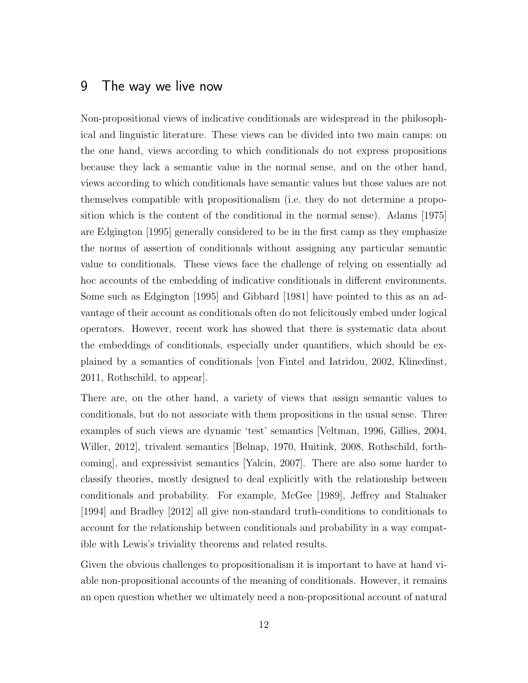#### 9 The way we live now

Non-propositional views of indicative conditionals are widespread in the philosophical and linguistic literature. These views can be divided into two main camps: on the one hand, views according to which conditionals do not express propositions because they lack a semantic value in the normal sense, and on the other hand, views according to which conditionals have semantic values but those values are not themselves compatible with propositionalism (i.e. they do not determine a proposition which is the content of the conditional in the normal sense). Adams [1975] are Edgington [1995] generally considered to be in the first camp as they emphasize the norms of assertion of conditionals without assigning any particular semantic value to conditionals. These views face the challenge of relying on essentially ad hoc accounts of the embedding of indicative conditionals in different environments. Some such as Edgington [1995] and Gibbard [1981] have pointed to this as an advantage of their account as conditionals often do not felicitously embed under logical operators. However, recent work has showed that there is systematic data about the embeddings of conditionals, especially under quantifiers, which should be explained by a semantics of conditionals [von Fintel and Iatridou, 2002, Klinedinst, 2011, Rothschild, to appear].

There are, on the other hand, a variety of views that assign semantic values to conditionals, but do not associate with them propositions in the usual sense. Three examples of such views are dynamic 'test' semantics [Veltman, 1996, Gillies, 2004, Willer, 2012], trivalent semantics [Belnap, 1970, Huitink, 2008, Rothschild, forthcoming], and expressivist semantics [Yalcin, 2007]. There are also some harder to classify theories, mostly designed to deal explicitly with the relationship between conditionals and probability. For example, McGee [1989], Jeffrey and Stalnaker [1994] and Bradley [2012] all give non-standard truth-conditions to conditionals to account for the relationship between conditionals and probability in a way compatible with Lewis's triviality theorems and related results.

Given the obvious challenges to propositionalism it is important to have at hand viable non-propositional accounts of the meaning of conditionals. However, it remains an open question whether we ultimately need a non-propositional account of natural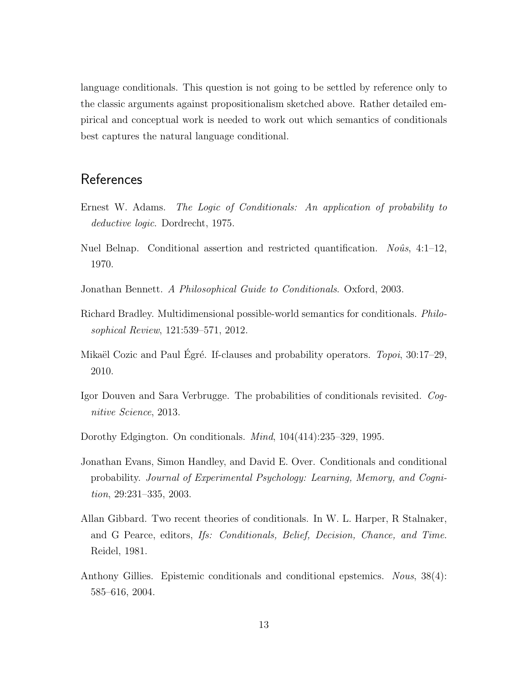language conditionals. This question is not going to be settled by reference only to the classic arguments against propositionalism sketched above. Rather detailed empirical and conceptual work is needed to work out which semantics of conditionals best captures the natural language conditional.

## **References**

- Ernest W. Adams. *The Logic of Conditionals: An application of probability to deductive logic*. Dordrecht, 1975.
- Nuel Belnap. Conditional assertion and restricted quantification. *Noûs*, 4:1–12, 1970.
- Jonathan Bennett. *A Philosophical Guide to Conditionals*. Oxford, 2003.
- Richard Bradley. Multidimensional possible-world semantics for conditionals. *Philosophical Review*, 121:539–571, 2012.
- Mikaël Cozic and Paul Égré. If-clauses and probability operators. *Topoi*, 30:17–29, 2010.
- Igor Douven and Sara Verbrugge. The probabilities of conditionals revisited. *Cognitive Science*, 2013.
- Dorothy Edgington. On conditionals. *Mind*, 104(414):235–329, 1995.
- Jonathan Evans, Simon Handley, and David E. Over. Conditionals and conditional probability. *Journal of Experimental Psychology: Learning, Memory, and Cognition*, 29:231–335, 2003.
- Allan Gibbard. Two recent theories of conditionals. In W. L. Harper, R Stalnaker, and G Pearce, editors, *Ifs: Conditionals, Belief, Decision, Chance, and Time*. Reidel, 1981.
- Anthony Gillies. Epistemic conditionals and conditional epstemics. *Nous*, 38(4): 585–616, 2004.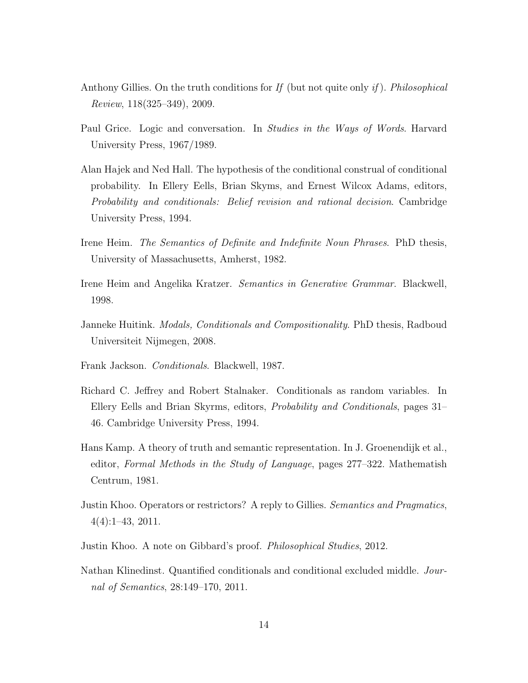- Anthony Gillies. On the truth conditions for *If* (but not quite only *if* ). *Philosophical Review*, 118(325–349), 2009.
- Paul Grice. Logic and conversation. In *Studies in the Ways of Words*. Harvard University Press, 1967/1989.
- Alan Hajek and Ned Hall. The hypothesis of the conditional construal of conditional probability. In Ellery Eells, Brian Skyms, and Ernest Wilcox Adams, editors, *Probability and conditionals: Belief revision and rational decision*. Cambridge University Press, 1994.
- Irene Heim. *The Semantics of Definite and Indefinite Noun Phrases*. PhD thesis, University of Massachusetts, Amherst, 1982.
- Irene Heim and Angelika Kratzer. *Semantics in Generative Grammar*. Blackwell, 1998.
- Janneke Huitink. *Modals, Conditionals and Compositionality*. PhD thesis, Radboud Universiteit Nijmegen, 2008.
- Frank Jackson. *Conditionals*. Blackwell, 1987.
- Richard C. Jeffrey and Robert Stalnaker. Conditionals as random variables. In Ellery Eells and Brian Skyrms, editors, *Probability and Conditionals*, pages 31– 46. Cambridge University Press, 1994.
- Hans Kamp. A theory of truth and semantic representation. In J. Groenendijk et al., editor, *Formal Methods in the Study of Language*, pages 277–322. Mathematish Centrum, 1981.
- Justin Khoo. Operators or restrictors? A reply to Gillies. *Semantics and Pragmatics*, 4(4):1–43, 2011.
- Justin Khoo. A note on Gibbard's proof. *Philosophical Studies*, 2012.
- Nathan Klinedinst. Quantified conditionals and conditional excluded middle. *Journal of Semantics*, 28:149–170, 2011.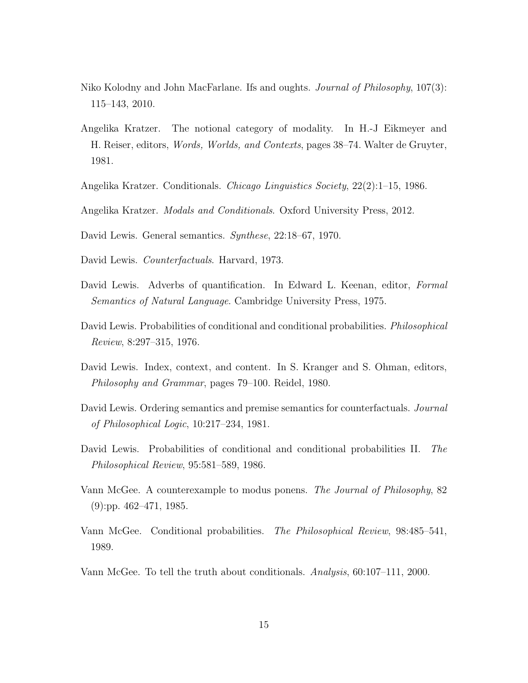- Niko Kolodny and John MacFarlane. Ifs and oughts. *Journal of Philosophy*, 107(3): 115–143, 2010.
- Angelika Kratzer. The notional category of modality. In H.-J Eikmeyer and H. Reiser, editors, *Words, Worlds, and Contexts*, pages 38–74. Walter de Gruyter, 1981.
- Angelika Kratzer. Conditionals. *Chicago Linguistics Society*, 22(2):1–15, 1986.
- Angelika Kratzer. *Modals and Conditionals*. Oxford University Press, 2012.
- David Lewis. General semantics. *Synthese*, 22:18–67, 1970.
- David Lewis. *Counterfactuals*. Harvard, 1973.
- David Lewis. Adverbs of quantification. In Edward L. Keenan, editor, *Formal Semantics of Natural Language*. Cambridge University Press, 1975.
- David Lewis. Probabilities of conditional and conditional probabilities. *Philosophical Review*, 8:297–315, 1976.
- David Lewis. Index, context, and content. In S. Kranger and S. Ohman, editors, *Philosophy and Grammar*, pages 79–100. Reidel, 1980.
- David Lewis. Ordering semantics and premise semantics for counterfactuals. *Journal of Philosophical Logic*, 10:217–234, 1981.
- David Lewis. Probabilities of conditional and conditional probabilities II. *The Philosophical Review*, 95:581–589, 1986.
- Vann McGee. A counterexample to modus ponens. *The Journal of Philosophy*, 82 (9):pp. 462–471, 1985.
- Vann McGee. Conditional probabilities. *The Philosophical Review*, 98:485–541, 1989.
- Vann McGee. To tell the truth about conditionals. *Analysis*, 60:107–111, 2000.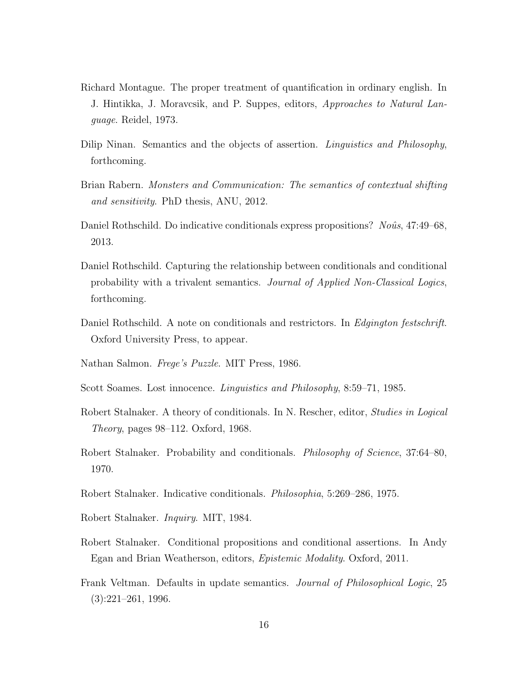- Richard Montague. The proper treatment of quantification in ordinary english. In J. Hintikka, J. Moravcsik, and P. Suppes, editors, *Approaches to Natural Language*. Reidel, 1973.
- Dilip Ninan. Semantics and the objects of assertion. *Linguistics and Philosophy*, forthcoming.
- Brian Rabern. *Monsters and Communication: The semantics of contextual shifting and sensitivity*. PhD thesis, ANU, 2012.
- Daniel Rothschild. Do indicative conditionals express propositions? *Noûs*, 47:49–68, 2013.
- Daniel Rothschild. Capturing the relationship between conditionals and conditional probability with a trivalent semantics. *Journal of Applied Non-Classical Logics*, forthcoming.
- Daniel Rothschild. A note on conditionals and restrictors. In *Edgington festschrift*. Oxford University Press, to appear.
- Nathan Salmon. *Frege's Puzzle*. MIT Press, 1986.
- Scott Soames. Lost innocence. *Linguistics and Philosophy*, 8:59–71, 1985.
- Robert Stalnaker. A theory of conditionals. In N. Rescher, editor, *Studies in Logical Theory*, pages 98–112. Oxford, 1968.
- Robert Stalnaker. Probability and conditionals. *Philosophy of Science*, 37:64–80, 1970.
- Robert Stalnaker. Indicative conditionals. *Philosophia*, 5:269–286, 1975.
- Robert Stalnaker. *Inquiry*. MIT, 1984.
- Robert Stalnaker. Conditional propositions and conditional assertions. In Andy Egan and Brian Weatherson, editors, *Epistemic Modality*. Oxford, 2011.
- Frank Veltman. Defaults in update semantics. *Journal of Philosophical Logic*, 25 (3):221–261, 1996.